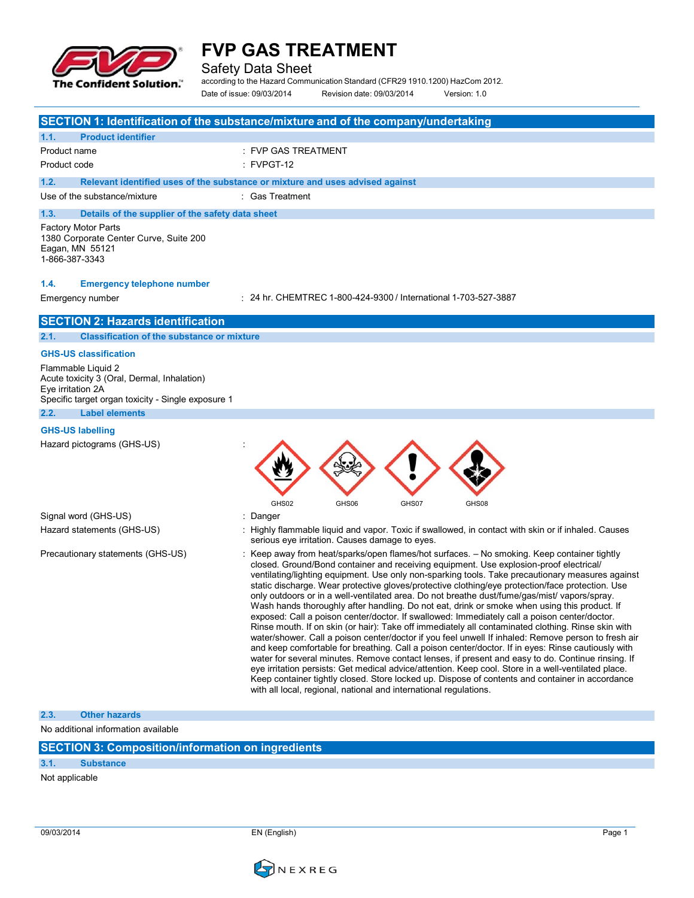

Safety Data Sheet

according to the Hazard Communication Standard (CFR29 1910.1200) HazCom 2012.

Date of issue: 09/03/2014 Revision date: 09/03/2014 Version: 1.0

|                                                                                                           |                                                                                                                         | SECTION 1: Identification of the substance/mixture and of the company/undertaking                                                                                                                                                                                                                                                                                                                                                                                                                                                                                                                                                                                                                                                                                                                                                                                                                                                                                                                                                                                                                                                                                                                                                                                                                                                                                                                    |
|-----------------------------------------------------------------------------------------------------------|-------------------------------------------------------------------------------------------------------------------------|------------------------------------------------------------------------------------------------------------------------------------------------------------------------------------------------------------------------------------------------------------------------------------------------------------------------------------------------------------------------------------------------------------------------------------------------------------------------------------------------------------------------------------------------------------------------------------------------------------------------------------------------------------------------------------------------------------------------------------------------------------------------------------------------------------------------------------------------------------------------------------------------------------------------------------------------------------------------------------------------------------------------------------------------------------------------------------------------------------------------------------------------------------------------------------------------------------------------------------------------------------------------------------------------------------------------------------------------------------------------------------------------------|
| 1.1.                                                                                                      | <b>Product identifier</b>                                                                                               |                                                                                                                                                                                                                                                                                                                                                                                                                                                                                                                                                                                                                                                                                                                                                                                                                                                                                                                                                                                                                                                                                                                                                                                                                                                                                                                                                                                                      |
| Product name                                                                                              |                                                                                                                         | : FVP GAS TREATMENT                                                                                                                                                                                                                                                                                                                                                                                                                                                                                                                                                                                                                                                                                                                                                                                                                                                                                                                                                                                                                                                                                                                                                                                                                                                                                                                                                                                  |
| Product code                                                                                              |                                                                                                                         | $:$ FVPGT-12                                                                                                                                                                                                                                                                                                                                                                                                                                                                                                                                                                                                                                                                                                                                                                                                                                                                                                                                                                                                                                                                                                                                                                                                                                                                                                                                                                                         |
| 1.2.                                                                                                      |                                                                                                                         | Relevant identified uses of the substance or mixture and uses advised against                                                                                                                                                                                                                                                                                                                                                                                                                                                                                                                                                                                                                                                                                                                                                                                                                                                                                                                                                                                                                                                                                                                                                                                                                                                                                                                        |
|                                                                                                           | Use of the substance/mixture                                                                                            | : Gas Treatment                                                                                                                                                                                                                                                                                                                                                                                                                                                                                                                                                                                                                                                                                                                                                                                                                                                                                                                                                                                                                                                                                                                                                                                                                                                                                                                                                                                      |
| 1.3.                                                                                                      | Details of the supplier of the safety data sheet                                                                        |                                                                                                                                                                                                                                                                                                                                                                                                                                                                                                                                                                                                                                                                                                                                                                                                                                                                                                                                                                                                                                                                                                                                                                                                                                                                                                                                                                                                      |
| <b>Factory Motor Parts</b><br>1380 Corporate Center Curve, Suite 200<br>Eagan, MN 55121<br>1-866-387-3343 |                                                                                                                         |                                                                                                                                                                                                                                                                                                                                                                                                                                                                                                                                                                                                                                                                                                                                                                                                                                                                                                                                                                                                                                                                                                                                                                                                                                                                                                                                                                                                      |
| 1.4.                                                                                                      | <b>Emergency telephone number</b>                                                                                       |                                                                                                                                                                                                                                                                                                                                                                                                                                                                                                                                                                                                                                                                                                                                                                                                                                                                                                                                                                                                                                                                                                                                                                                                                                                                                                                                                                                                      |
|                                                                                                           | Emergency number                                                                                                        | : 24 hr. CHEMTREC 1-800-424-9300 / International 1-703-527-3887                                                                                                                                                                                                                                                                                                                                                                                                                                                                                                                                                                                                                                                                                                                                                                                                                                                                                                                                                                                                                                                                                                                                                                                                                                                                                                                                      |
|                                                                                                           | <b>SECTION 2: Hazards identification</b>                                                                                |                                                                                                                                                                                                                                                                                                                                                                                                                                                                                                                                                                                                                                                                                                                                                                                                                                                                                                                                                                                                                                                                                                                                                                                                                                                                                                                                                                                                      |
| 2.1.                                                                                                      | <b>Classification of the substance or mixture</b>                                                                       |                                                                                                                                                                                                                                                                                                                                                                                                                                                                                                                                                                                                                                                                                                                                                                                                                                                                                                                                                                                                                                                                                                                                                                                                                                                                                                                                                                                                      |
|                                                                                                           | <b>GHS-US classification</b>                                                                                            |                                                                                                                                                                                                                                                                                                                                                                                                                                                                                                                                                                                                                                                                                                                                                                                                                                                                                                                                                                                                                                                                                                                                                                                                                                                                                                                                                                                                      |
| Eye irritation 2A                                                                                         | Flammable Liquid 2<br>Acute toxicity 3 (Oral, Dermal, Inhalation)<br>Specific target organ toxicity - Single exposure 1 |                                                                                                                                                                                                                                                                                                                                                                                                                                                                                                                                                                                                                                                                                                                                                                                                                                                                                                                                                                                                                                                                                                                                                                                                                                                                                                                                                                                                      |
| 2.2.                                                                                                      | <b>Label elements</b>                                                                                                   |                                                                                                                                                                                                                                                                                                                                                                                                                                                                                                                                                                                                                                                                                                                                                                                                                                                                                                                                                                                                                                                                                                                                                                                                                                                                                                                                                                                                      |
|                                                                                                           | <b>GHS-US labelling</b>                                                                                                 |                                                                                                                                                                                                                                                                                                                                                                                                                                                                                                                                                                                                                                                                                                                                                                                                                                                                                                                                                                                                                                                                                                                                                                                                                                                                                                                                                                                                      |
|                                                                                                           | Hazard pictograms (GHS-US)                                                                                              | GHS02<br>GHS06<br>GHS07<br>GHS08                                                                                                                                                                                                                                                                                                                                                                                                                                                                                                                                                                                                                                                                                                                                                                                                                                                                                                                                                                                                                                                                                                                                                                                                                                                                                                                                                                     |
|                                                                                                           | Signal word (GHS-US)                                                                                                    | : Danger                                                                                                                                                                                                                                                                                                                                                                                                                                                                                                                                                                                                                                                                                                                                                                                                                                                                                                                                                                                                                                                                                                                                                                                                                                                                                                                                                                                             |
|                                                                                                           | Hazard statements (GHS-US)                                                                                              | : Highly flammable liquid and vapor. Toxic if swallowed, in contact with skin or if inhaled. Causes<br>serious eye irritation. Causes damage to eyes.                                                                                                                                                                                                                                                                                                                                                                                                                                                                                                                                                                                                                                                                                                                                                                                                                                                                                                                                                                                                                                                                                                                                                                                                                                                |
|                                                                                                           | Precautionary statements (GHS-US)                                                                                       | : Keep away from heat/sparks/open flames/hot surfaces. - No smoking. Keep container tightly<br>closed. Ground/Bond container and receiving equipment. Use explosion-proof electrical/<br>ventilating/lighting equipment. Use only non-sparking tools. Take precautionary measures against<br>static discharge. Wear protective gloves/protective clothing/eye protection/face protection. Use<br>only outdoors or in a well-ventilated area. Do not breathe dust/fume/gas/mist/ vapors/spray.<br>Wash hands thoroughly after handling. Do not eat, drink or smoke when using this product. If<br>exposed: Call a poison center/doctor. If swallowed: Immediately call a poison center/doctor.<br>Rinse mouth. If on skin (or hair): Take off immediately all contaminated clothing. Rinse skin with<br>water/shower. Call a poison center/doctor if you feel unwell If inhaled: Remove person to fresh air<br>and keep comfortable for breathing. Call a poison center/doctor. If in eyes: Rinse cautiously with<br>water for several minutes. Remove contact lenses, if present and easy to do. Continue rinsing. If<br>eye irritation persists: Get medical advice/attention. Keep cool. Store in a well-ventilated place.<br>Keep container tightly closed. Store locked up. Dispose of contents and container in accordance<br>with all local, regional, national and international regulations. |
| 2.3.                                                                                                      | <b>Other hazards</b>                                                                                                    |                                                                                                                                                                                                                                                                                                                                                                                                                                                                                                                                                                                                                                                                                                                                                                                                                                                                                                                                                                                                                                                                                                                                                                                                                                                                                                                                                                                                      |
|                                                                                                           | No additional information available                                                                                     |                                                                                                                                                                                                                                                                                                                                                                                                                                                                                                                                                                                                                                                                                                                                                                                                                                                                                                                                                                                                                                                                                                                                                                                                                                                                                                                                                                                                      |
|                                                                                                           | an 141 an an 11 an Canadana an Alban an I                                                                               |                                                                                                                                                                                                                                                                                                                                                                                                                                                                                                                                                                                                                                                                                                                                                                                                                                                                                                                                                                                                                                                                                                                                                                                                                                                                                                                                                                                                      |

## **SECTION 3: Composition/information on ingredients**

## **3.1. Substance**

Not applicable



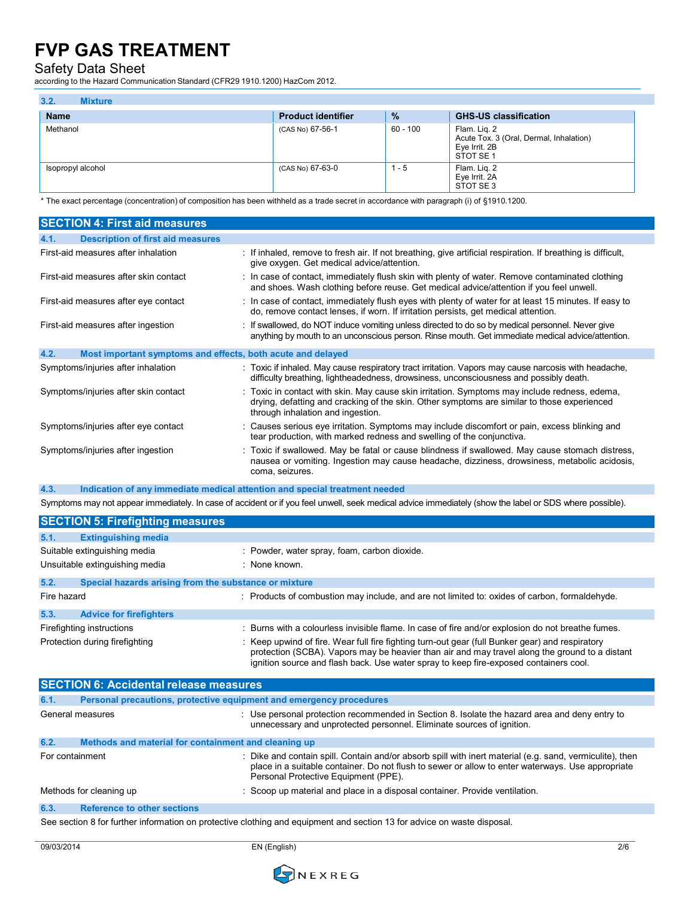Safety Data Sheet

according to the Hazard Communication Standard (CFR29 1910.1200) HazCom 2012.

| 3.2.<br><b>Mixture</b> |                           |          |                                                                                       |
|------------------------|---------------------------|----------|---------------------------------------------------------------------------------------|
| <b>Name</b>            | <b>Product identifier</b> | %        | <b>GHS-US classification</b>                                                          |
| Methanol               | (CAS No) 67-56-1          | 60 - 100 | Flam. Lig. 2<br>Acute Tox. 3 (Oral, Dermal, Inhalation)<br>Eye Irrit. 2B<br>STOT SE 1 |
| Isopropyl alcohol      | (CAS No) 67-63-0          | l - 5    | Flam. Lig. 2<br>Eye Irrit. 2A<br>STOT SE3                                             |

\* The exact percentage (concentration) of composition has been withheld as a trade secret in accordance with paragraph (i) of §1910.1200.

| <b>SECTION 4: First aid measures</b>                                |                                                                                                                                                                                                                                   |
|---------------------------------------------------------------------|-----------------------------------------------------------------------------------------------------------------------------------------------------------------------------------------------------------------------------------|
| <b>Description of first aid measures</b><br>4.1.                    |                                                                                                                                                                                                                                   |
| First-aid measures after inhalation                                 | : If inhaled, remove to fresh air. If not breathing, give artificial respiration. If breathing is difficult,<br>give oxygen. Get medical advice/attention.                                                                        |
| First-aid measures after skin contact                               | : In case of contact, immediately flush skin with plenty of water. Remove contaminated clothing<br>and shoes. Wash clothing before reuse. Get medical advice/attention if you feel unwell.                                        |
| First-aid measures after eye contact                                | : In case of contact, immediately flush eyes with plenty of water for at least 15 minutes. If easy to<br>do, remove contact lenses, if worn. If irritation persists, get medical attention.                                       |
| First-aid measures after ingestion                                  | : If swallowed, do NOT induce vomiting unless directed to do so by medical personnel. Never give<br>anything by mouth to an unconscious person. Rinse mouth. Get immediate medical advice/attention.                              |
| 4.2.<br>Most important symptoms and effects, both acute and delayed |                                                                                                                                                                                                                                   |
| Symptoms/injuries after inhalation                                  | : Toxic if inhaled. May cause respiratory tract irritation. Vapors may cause narcosis with headache,<br>difficulty breathing, lightheadedness, drowsiness, unconsciousness and possibly death.                                    |
| Symptoms/injuries after skin contact                                | : Toxic in contact with skin. May cause skin irritation. Symptoms may include redness, edema,<br>drying, defatting and cracking of the skin. Other symptoms are similar to those experienced<br>through inhalation and ingestion. |
| Symptoms/injuries after eye contact                                 | : Causes serious eye irritation. Symptoms may include discomfort or pain, excess blinking and<br>tear production, with marked redness and swelling of the conjunctiva.                                                            |
| Symptoms/injuries after ingestion                                   | : Toxic if swallowed. May be fatal or cause blindness if swallowed. May cause stomach distress,<br>nausea or vomiting. Ingestion may cause headache, dizziness, drowsiness, metabolic acidosis,<br>coma, seizures.                |

**4.3. Indication of any immediate medical attention and special treatment needed**

Symptoms may not appear immediately. In case of accident or if you feel unwell, seek medical advice immediately (show the label or SDS where possible).

|                                | <b>SECTION 5: Firefighting measures</b>               |                                                                                                                                                                                                                                                                                            |  |  |  |
|--------------------------------|-------------------------------------------------------|--------------------------------------------------------------------------------------------------------------------------------------------------------------------------------------------------------------------------------------------------------------------------------------------|--|--|--|
| 5.1.                           | <b>Extinguishing media</b>                            |                                                                                                                                                                                                                                                                                            |  |  |  |
|                                | Suitable extinguishing media                          | : Powder, water spray, foam, carbon dioxide.                                                                                                                                                                                                                                               |  |  |  |
| Unsuitable extinguishing media |                                                       | : None known.                                                                                                                                                                                                                                                                              |  |  |  |
| 5.2.                           | Special hazards arising from the substance or mixture |                                                                                                                                                                                                                                                                                            |  |  |  |
| Fire hazard                    |                                                       | : Products of combustion may include, and are not limited to: oxides of carbon, formaldehyde.                                                                                                                                                                                              |  |  |  |
| 5.3.                           | <b>Advice for firefighters</b>                        |                                                                                                                                                                                                                                                                                            |  |  |  |
| Firefighting instructions      |                                                       | : Burns with a colourless invisible flame. In case of fire and/or explosion do not breathe fumes.                                                                                                                                                                                          |  |  |  |
| Protection during firefighting |                                                       | : Keep upwind of fire. Wear full fire fighting turn-out gear (full Bunker gear) and respiratory<br>protection (SCBA). Vapors may be heavier than air and may travel along the ground to a distant<br>ignition source and flash back. Use water spray to keep fire-exposed containers cool. |  |  |  |

| <b>SECTION 6: Accidental release measures</b> |                                                                                                                        |                                                                                                                                                                                                                                                       |  |
|-----------------------------------------------|------------------------------------------------------------------------------------------------------------------------|-------------------------------------------------------------------------------------------------------------------------------------------------------------------------------------------------------------------------------------------------------|--|
| 6.1.                                          | Personal precautions, protective equipment and emergency procedures                                                    |                                                                                                                                                                                                                                                       |  |
|                                               | General measures                                                                                                       | $\therefore$ Use personal protection recommended in Section 8. Isolate the hazard area and deny entry to<br>unnecessary and unprotected personnel. Eliminate sources of ignition.                                                                     |  |
| 6.2.                                          | Methods and material for containment and cleaning up                                                                   |                                                                                                                                                                                                                                                       |  |
| For containment                               |                                                                                                                        | : Dike and contain spill. Contain and/or absorb spill with inert material (e.g. sand, vermiculite), then<br>place in a suitable container. Do not flush to sewer or allow to enter waterways. Use appropriate<br>Personal Protective Equipment (PPE). |  |
|                                               | Methods for cleaning up                                                                                                | : Scoop up material and place in a disposal container. Provide ventilation.                                                                                                                                                                           |  |
| 6.3.                                          | <b>Reference to other sections</b>                                                                                     |                                                                                                                                                                                                                                                       |  |
|                                               | See section 8 for further information on protective clothing and equipment and section 13 for advice on waste disposal |                                                                                                                                                                                                                                                       |  |

 $s$ ctive clothing and equipment and section 13 for advice on waste disposal.

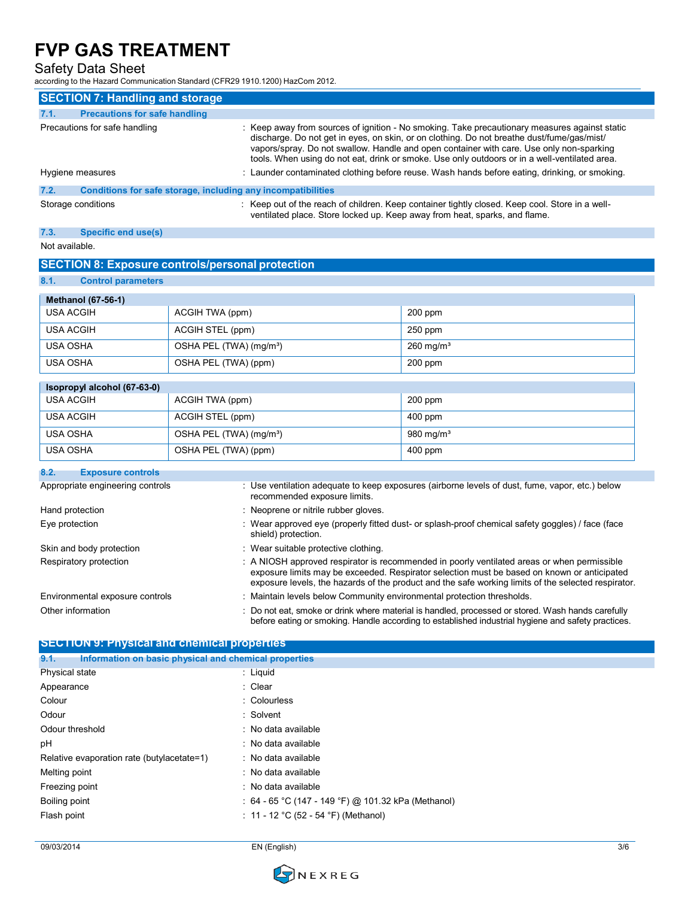Safety Data Sheet

| according to the Hazard Communication Standard (CFR29 1910.1200) HazCom 2012. |                                                              |                                                                                                                                                                                                                                                                                                                                                                                          |  |  |
|-------------------------------------------------------------------------------|--------------------------------------------------------------|------------------------------------------------------------------------------------------------------------------------------------------------------------------------------------------------------------------------------------------------------------------------------------------------------------------------------------------------------------------------------------------|--|--|
| <b>SECTION 7: Handling and storage</b>                                        |                                                              |                                                                                                                                                                                                                                                                                                                                                                                          |  |  |
| 7.1.<br><b>Precautions for safe handling</b>                                  |                                                              |                                                                                                                                                                                                                                                                                                                                                                                          |  |  |
| Precautions for safe handling                                                 |                                                              | : Keep away from sources of ignition - No smoking. Take precautionary measures against static<br>discharge. Do not get in eyes, on skin, or on clothing. Do not breathe dust/fume/gas/mist/<br>vapors/spray. Do not swallow. Handle and open container with care. Use only non-sparking<br>tools. When using do not eat, drink or smoke. Use only outdoors or in a well-ventilated area. |  |  |
| Hygiene measures                                                              |                                                              | : Launder contaminated clothing before reuse. Wash hands before eating, drinking, or smoking.                                                                                                                                                                                                                                                                                            |  |  |
| 7.2.                                                                          | Conditions for safe storage, including any incompatibilities |                                                                                                                                                                                                                                                                                                                                                                                          |  |  |
| Storage conditions                                                            |                                                              | : Keep out of the reach of children. Keep container tightly closed. Keep cool. Store in a well-<br>ventilated place. Store locked up. Keep away from heat, sparks, and flame.                                                                                                                                                                                                            |  |  |
| 7.3.<br><b>Specific end use(s)</b>                                            |                                                              |                                                                                                                                                                                                                                                                                                                                                                                          |  |  |
| Not available.                                                                |                                                              |                                                                                                                                                                                                                                                                                                                                                                                          |  |  |
|                                                                               | <b>SECTION 8: Exposure controls/personal protection</b>      |                                                                                                                                                                                                                                                                                                                                                                                          |  |  |
| 8.1.<br><b>Control parameters</b>                                             |                                                              |                                                                                                                                                                                                                                                                                                                                                                                          |  |  |
| <b>Methanol (67-56-1)</b>                                                     |                                                              |                                                                                                                                                                                                                                                                                                                                                                                          |  |  |
| <b>USA ACGIH</b>                                                              | ACGIH TWA (ppm)                                              | 200 ppm                                                                                                                                                                                                                                                                                                                                                                                  |  |  |
| <b>USA ACGIH</b>                                                              | ACGIH STEL (ppm)                                             | 250 ppm                                                                                                                                                                                                                                                                                                                                                                                  |  |  |
| <b>USA OSHA</b>                                                               | OSHA PEL (TWA) (mg/m <sup>3</sup> )                          | $260$ mg/m <sup>3</sup>                                                                                                                                                                                                                                                                                                                                                                  |  |  |
| <b>USA OSHA</b>                                                               | OSHA PEL (TWA) (ppm)                                         | $200$ ppm                                                                                                                                                                                                                                                                                                                                                                                |  |  |
| Isopropyl alcohol (67-63-0)                                                   |                                                              |                                                                                                                                                                                                                                                                                                                                                                                          |  |  |
| <b>USA ACGIH</b>                                                              | ACGIH TWA (ppm)                                              | 200 ppm                                                                                                                                                                                                                                                                                                                                                                                  |  |  |
| <b>USA ACGIH</b>                                                              | ACGIH STEL (ppm)                                             | 400 ppm                                                                                                                                                                                                                                                                                                                                                                                  |  |  |
| <b>USA OSHA</b>                                                               | OSHA PEL (TWA) (mg/m <sup>3</sup> )                          | 980 mg/m <sup>3</sup>                                                                                                                                                                                                                                                                                                                                                                    |  |  |
| <b>USA OSHA</b>                                                               | OSHA PEL (TWA) (ppm)                                         | 400 ppm                                                                                                                                                                                                                                                                                                                                                                                  |  |  |
| 8.2.<br><b>Exposure controls</b>                                              |                                                              |                                                                                                                                                                                                                                                                                                                                                                                          |  |  |
| Appropriate engineering controls                                              | recommended exposure limits.                                 | : Use ventilation adequate to keep exposures (airborne levels of dust, fume, vapor, etc.) below                                                                                                                                                                                                                                                                                          |  |  |
| Hand protection                                                               | : Neoprene or nitrile rubber gloves.                         |                                                                                                                                                                                                                                                                                                                                                                                          |  |  |
| Eye protection                                                                | shield) protection.                                          | : Wear approved eye (properly fitted dust- or splash-proof chemical safety goggles) / face (face                                                                                                                                                                                                                                                                                         |  |  |
| Skin and body protection                                                      |                                                              | : Wear suitable protective clothing.                                                                                                                                                                                                                                                                                                                                                     |  |  |
| Respiratory protection                                                        |                                                              | : A NIOSH approved respirator is recommended in poorly ventilated areas or when permissible<br>exposure limits may be exceeded. Respirator selection must be based on known or anticipated<br>exposure levels, the hazards of the product and the safe working limits of the selected respirator.                                                                                        |  |  |
| Environmental exposure controls                                               |                                                              | : Maintain levels below Community environmental protection thresholds.                                                                                                                                                                                                                                                                                                                   |  |  |
| Other information                                                             |                                                              | : Do not eat, smoke or drink where material is handled, processed or stored. Wash hands carefully<br>before eating or smoking. Handle according to established industrial hygiene and safety practices.                                                                                                                                                                                  |  |  |
| <b>SECTION 9: Physical and chemical properties</b>                            |                                                              |                                                                                                                                                                                                                                                                                                                                                                                          |  |  |
| 9.1.                                                                          | Information on basic physical and chemical properties        |                                                                                                                                                                                                                                                                                                                                                                                          |  |  |
| Physical state                                                                | : Liquid                                                     |                                                                                                                                                                                                                                                                                                                                                                                          |  |  |
| Appearance                                                                    | : Clear                                                      |                                                                                                                                                                                                                                                                                                                                                                                          |  |  |
| Colour                                                                        | : Colourless                                                 |                                                                                                                                                                                                                                                                                                                                                                                          |  |  |
| Odour                                                                         | : Solvent                                                    |                                                                                                                                                                                                                                                                                                                                                                                          |  |  |

- Odour threshold **in the contract of the Contract of the Contract of the Contract of the Contract of the Contract of the Contract of the Contract of the Contract of the Contract of the Contract of the Contract of the Contra** pH : No data available
- Relative evaporation rate (butylacetate=1) : No data available Melting point **in the case of the case of the case of the case of the case of the case of the case of the case of the case of the case of the case of the case of the case of the case of the case of the case of the case of** Freezing point **in the case of the Contract Contract Contract Contract Contract Contract Contract Contract Contract Contract Contract Contract Contract Contract Contract Contract Contract Contract Contract Contract Contrac**
- Boiling point **Example 20** 101.32 kPa (Methanol) : 64 65 °C (147 149 °F) @ 101.32 kPa (Methanol)

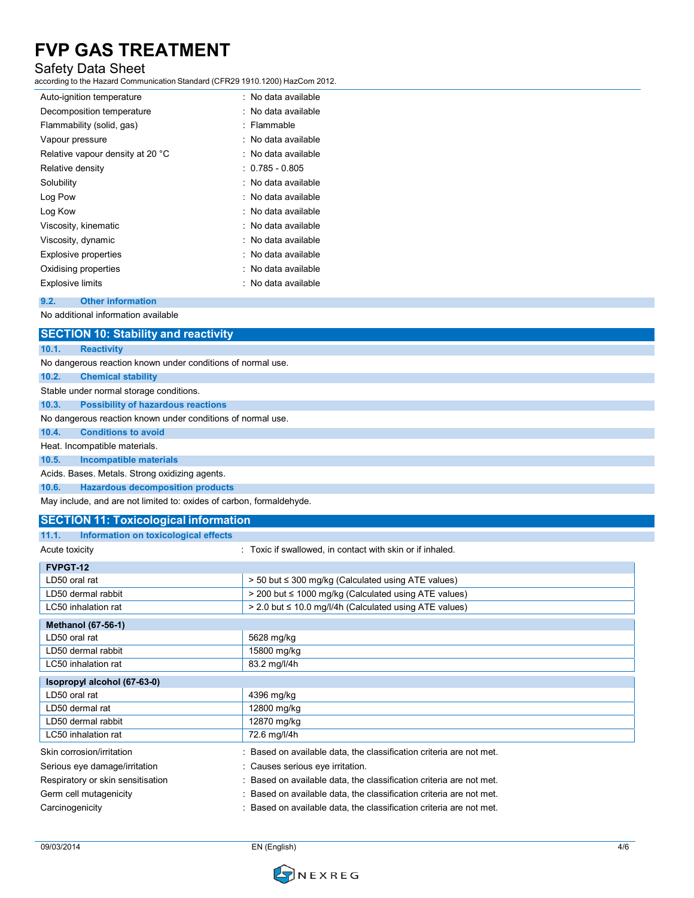## Safety Data Sheet

according to the Hazard Communication Standard (CFR29 1910.1200) HazCom 2012.

| Auto-ignition temperature        | : No data available |
|----------------------------------|---------------------|
| Decomposition temperature        | : No data available |
| Flammability (solid, gas)        | : Flammable         |
| Vapour pressure                  | : No data available |
| Relative vapour density at 20 °C | : No data available |
| Relative density                 | $: 0.785 - 0.805$   |
| Solubility                       | : No data available |
| Log Pow                          | : No data available |
| Log Kow                          | : No data available |
| Viscosity, kinematic             | : No data available |
| Viscosity, dynamic               | : No data available |
| <b>Explosive properties</b>      | : No data available |
| Oxidising properties             | : No data available |
| <b>Explosive limits</b>          | : No data available |
|                                  |                     |

#### **9.2. Other information**

No additional information available

|       | <b>SECTION 10: Stability and reactivity</b>                 |
|-------|-------------------------------------------------------------|
| 10.1. | <b>Reactivity</b>                                           |
|       | No dangerous reaction known under conditions of normal use. |
| 10.2. | <b>Chemical stability</b>                                   |
|       | Stable under normal storage conditions.                     |
| 10.3. | <b>Possibility of hazardous reactions</b>                   |
|       | No dangerous reaction known under conditions of normal use. |
| 10.4. | <b>Conditions to avoid</b>                                  |
|       | Heat. Incompatible materials.                               |
| 10.5. | Incompatible materials                                      |
|       | Acids. Bases. Metals. Strong oxidizing agents.              |
| 10.6. | <b>Hazardous decomposition products</b>                     |
|       |                                                             |

May include, and are not limited to: oxides of carbon, formaldehyde.

## **SECTION 11: Toxicological information**

| Information on toxicological effects<br>11.1. |                                                                     |
|-----------------------------------------------|---------------------------------------------------------------------|
| Acute toxicity                                | : Toxic if swallowed, in contact with skin or if inhaled.           |
| FVPGT-12                                      |                                                                     |
| LD50 oral rat                                 | > 50 but ≤ 300 mg/kg (Calculated using ATE values)                  |
| LD50 dermal rabbit                            | > 200 but ≤ 1000 mg/kg (Calculated using ATE values)                |
| LC50 inhalation rat                           | > 2.0 but ≤ 10.0 mg/l/4h (Calculated using ATE values)              |
| <b>Methanol (67-56-1)</b>                     |                                                                     |
| LD50 oral rat                                 | 5628 mg/kg                                                          |
| LD50 dermal rabbit                            | 15800 mg/kg                                                         |
| LC50 inhalation rat                           | 83.2 mg/l/4h                                                        |
| Isopropyl alcohol (67-63-0)                   |                                                                     |
| LD50 oral rat                                 | 4396 mg/kg                                                          |
| LD50 dermal rat                               | 12800 mg/kg                                                         |
| LD50 dermal rabbit                            | 12870 mg/kg                                                         |
| LC50 inhalation rat                           | 72.6 mg/l/4h                                                        |
| Skin corrosion/irritation                     | : Based on available data, the classification criteria are not met. |
| Serious eye damage/irritation                 | : Causes serious eye irritation.                                    |
| Respiratory or skin sensitisation             | : Based on available data, the classification criteria are not met. |
| Germ cell mutagenicity                        | : Based on available data, the classification criteria are not met. |
| Carcinogenicity                               | : Based on available data, the classification criteria are not met. |

09/03/2014 EN (English) 4/6

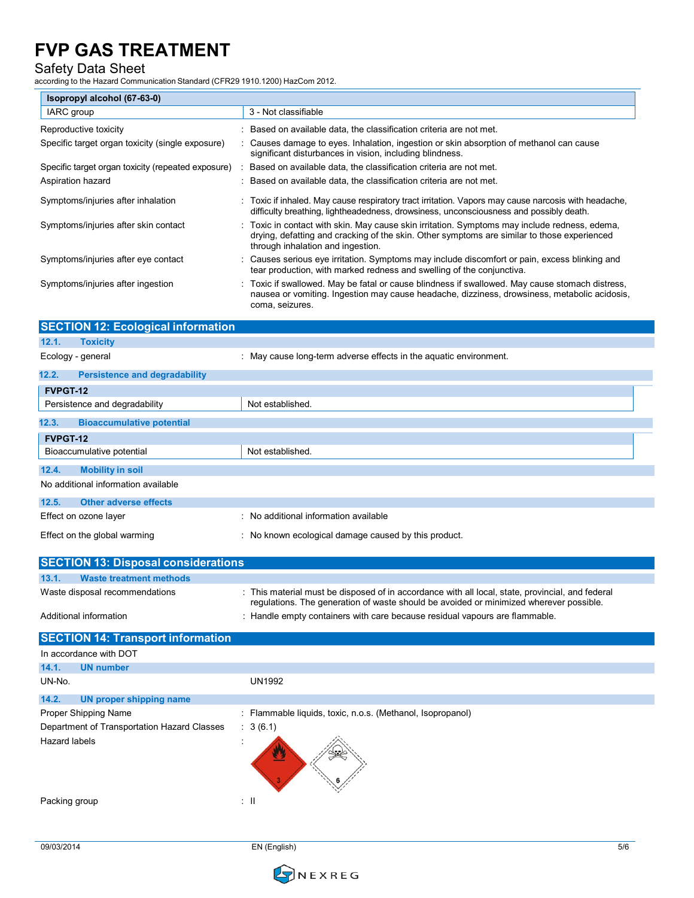## Safety Data Sheet

according to the Hazard Communication Standard (CFR29 1910.1200) HazCom 2012.

| Isopropyl alcohol (67-63-0)                        |                                                                                                                                                                                                                                   |  |
|----------------------------------------------------|-----------------------------------------------------------------------------------------------------------------------------------------------------------------------------------------------------------------------------------|--|
| IARC group                                         | 3 - Not classifiable                                                                                                                                                                                                              |  |
| Reproductive toxicity                              | : Based on available data, the classification criteria are not met.                                                                                                                                                               |  |
| Specific target organ toxicity (single exposure)   | : Causes damage to eyes. Inhalation, ingestion or skin absorption of methanol can cause<br>significant disturbances in vision, including blindness.                                                                               |  |
| Specific target organ toxicity (repeated exposure) | Based on available data, the classification criteria are not met.                                                                                                                                                                 |  |
| Aspiration hazard                                  | : Based on available data, the classification criteria are not met.                                                                                                                                                               |  |
| Symptoms/injuries after inhalation                 | : Toxic if inhaled. May cause respiratory tract irritation. Vapors may cause narcosis with headache,<br>difficulty breathing, lightheadedness, drowsiness, unconsciousness and possibly death.                                    |  |
| Symptoms/injuries after skin contact               | : Toxic in contact with skin. May cause skin irritation. Symptoms may include redness, edema,<br>drying, defatting and cracking of the skin. Other symptoms are similar to those experienced<br>through inhalation and ingestion. |  |
| Symptoms/injuries after eye contact                | : Causes serious eye irritation. Symptoms may include discomfort or pain, excess blinking and<br>tear production, with marked redness and swelling of the conjunctiva.                                                            |  |
| Symptoms/injuries after ingestion                  | : Toxic if swallowed. May be fatal or cause blindness if swallowed. May cause stomach distress,<br>nausea or vomiting. Ingestion may cause headache, dizziness, drowsiness, metabolic acidosis,<br>coma, seizures.                |  |
| <b>SECTION 12: Ecological information</b>          |                                                                                                                                                                                                                                   |  |
| 12.1.<br><b>Toxicity</b>                           |                                                                                                                                                                                                                                   |  |

| Ecology - general                             | : May cause long-term adverse effects in the aquatic environment. |
|-----------------------------------------------|-------------------------------------------------------------------|
| 12.2.<br><b>Persistence and degradability</b> |                                                                   |
| FVPGT-12                                      |                                                                   |
| Persistence and degradability                 | Not established.                                                  |
| 12.3.<br><b>Bioaccumulative potential</b>     |                                                                   |
| FVPGT-12                                      |                                                                   |
| Bioaccumulative potential                     | Not established.                                                  |
| 12.4.<br><b>Mobility in soil</b>              |                                                                   |
| No additional information available           |                                                                   |
| 12.5.<br><b>Other adverse effects</b>         |                                                                   |
| Effect on ozone layer                         | : No additional information available                             |
| Effect on the global warming                  | : No known ecological damage caused by this product.              |

|                                | <b>SECTION 13: Disposal considerations</b> |                                                                                                                                                                                            |
|--------------------------------|--------------------------------------------|--------------------------------------------------------------------------------------------------------------------------------------------------------------------------------------------|
| 13.1.                          | Waste treatment methods                    |                                                                                                                                                                                            |
| Waste disposal recommendations |                                            | : This material must be disposed of in accordance with all local, state, provincial, and federal<br>requlations. The generation of waste should be avoided or minimized wherever possible. |
| Additional information         |                                            | : Handle empty containers with care because residual vapours are flammable.                                                                                                                |

| <b>SECTION 14: Transport information</b>    |                                                            |
|---------------------------------------------|------------------------------------------------------------|
| In accordance with DOT                      |                                                            |
| 14.1.<br><b>UN number</b>                   |                                                            |
| UN-No.                                      | <b>UN1992</b>                                              |
| 14.2.<br>UN proper shipping name            |                                                            |
| <b>Proper Shipping Name</b>                 | : Flammable liquids, toxic, n.o.s. (Methanol, Isopropanol) |
| Department of Transportation Hazard Classes | : 3(6.1)                                                   |
| <b>Hazard labels</b>                        | $\overline{a}$                                             |
| Packing group                               | $\pm$ 11                                                   |

09/03/2014 EN (English) 5/6